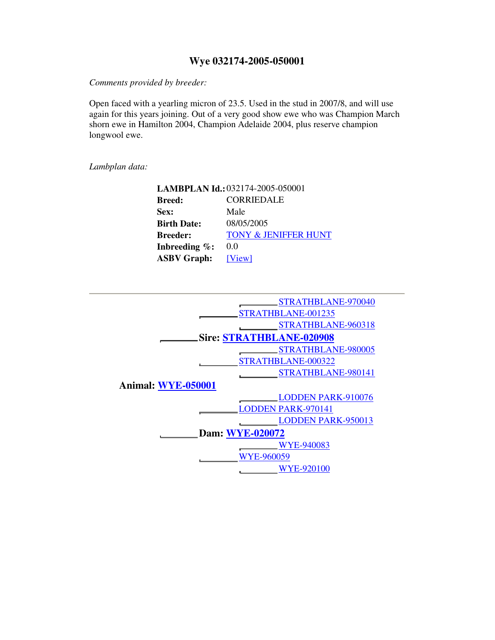## **Wye 032174-2005-050001**

*Comments provided by breeder:* 

Open faced with a yearling micron of 23.5. Used in the stud in 2007/8, and will use again for this years joining. Out of a very good show ewe who was Champion March shorn ewe in Hamilton 2004, Champion Adelaide 2004, plus reserve champion longwool ewe.

*Lambplan data:* 

|                    | LAMBPLAN Id.: 032174-2005-050001 |
|--------------------|----------------------------------|
| <b>Breed:</b>      | CORRIEDALE                       |
| Sex:               | Male                             |
| <b>Birth Date:</b> | 08/05/2005                       |
| <b>Breeder:</b>    | <b>TONY &amp; JENIFFER HUNT</b>  |
| Inbreeding $\%$ :  | 0.0                              |
| <b>ASBV Graph:</b> | [View]                           |

| STRATHBLANE-970040              |  |  |  |  |  |  |  |  |  |
|---------------------------------|--|--|--|--|--|--|--|--|--|
| STRATHBLANE-001235              |  |  |  |  |  |  |  |  |  |
| STRATHBLANE-960318              |  |  |  |  |  |  |  |  |  |
| <b>Sire: STRATHBLANE-020908</b> |  |  |  |  |  |  |  |  |  |
| STRATHBLANE-980005              |  |  |  |  |  |  |  |  |  |
| STRATHBLANE-000322              |  |  |  |  |  |  |  |  |  |
| STRATHBLANE-980141              |  |  |  |  |  |  |  |  |  |
| <b>Animal: WYE-050001</b>       |  |  |  |  |  |  |  |  |  |
| <b>LODDEN PARK-910076</b>       |  |  |  |  |  |  |  |  |  |
| <b>LODDEN PARK-970141</b>       |  |  |  |  |  |  |  |  |  |
| <b>LODDEN PARK-950013</b>       |  |  |  |  |  |  |  |  |  |
| Dam: WYE-020072                 |  |  |  |  |  |  |  |  |  |
| WYE-940083                      |  |  |  |  |  |  |  |  |  |
| <b>WYE-960059</b>               |  |  |  |  |  |  |  |  |  |
| <b>WYE-920100</b>               |  |  |  |  |  |  |  |  |  |
|                                 |  |  |  |  |  |  |  |  |  |